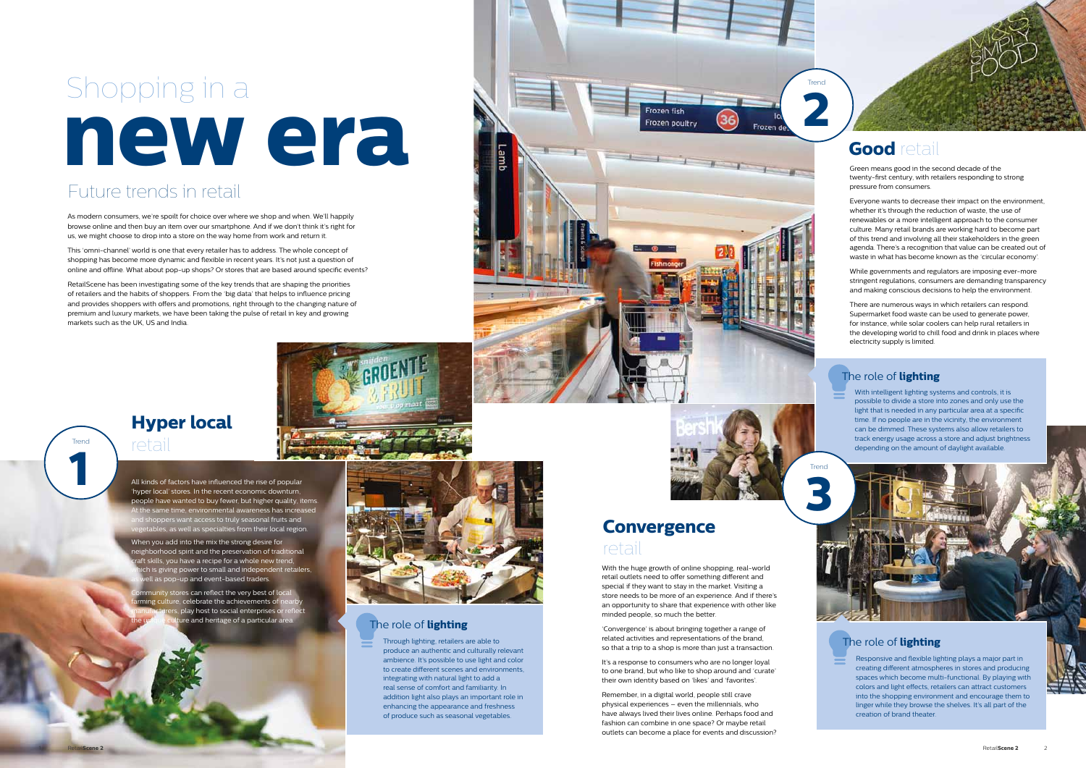Through lighting, retailers are able to produce an authentic and culturally relevant ambience. It's possible to use light and color to create different scenes and environments, integrating with natural light to add a real sense of comfort and familiarity. In addition light also plays an important role in enhancing the appearance and freshness of produce such as seasonal vegetables.

#### The role of **lighting**

# **new era** Shopping in a

As modern consumers, we're spoilt for choice over where we shop and when. We'll happily browse online and then buy an item over our smartphone. And if we don't think it's right for us, we might choose to drop into a store on the way home from work and return it.

This 'omni-channel' world is one that every retailer has to address. The whole concept of shopping has become more dynamic and flexible in recent years. It's not just a question of online and offline. What about pop-up shops? Or stores that are based around specific events?

RetailScene has been investigating some of the key trends that are shaping the priorities of retailers and the habits of shoppers. From the 'big data' that helps to influence pricing and provides shoppers with offers and promotions, right through to the changing nature of premium and luxury markets, we have been taking the pulse of retail in key and growing markets such as the UK, US and India.



Green means good in the second decade of the twenty-first century, with retailers responding to strong pressure from consumers.

Everyone wants to decrease their impact on the environment, whether it's through the reduction of waste, the use of renewables or a more intelligent approach to the consumer culture. Many retail brands are working hard to become part of this trend and involving all their stakeholders in the green agenda. There's a recognition that value can be created out of waste in what has become known as the 'circular economy'.

All kinds of factors have influenced the rise of popular 'hyper local' stores. In the recent economic downturn, people have wanted to buy fewer, but higher quality, items. ie same time, environmental awareness has increased hoppers want access to truly seasonal fruits and etables, as well as specialties from their local region

While governments and regulators are imposing ever-more stringent regulations, consumers are demanding transparency and making conscious decisions to help the environment.

When you add into the mix the strong desire for neighborhood spirit and the preservation of traditional ft skills, you have a recipe for a whole new trend, ich is giving power to small and independent retailers, Il as pop-up and event-based traders.

unity stores can reflect the very best of local llture, celebrate the achievements of ne play host to social enterprises or re the and heritage of a particular area.



There are numerous ways in which retailers can respond. Supermarket food waste can be used to generate power, for instance, while solar coolers can help rural retailers in the developing world to chill food and drink in places where electricity supply is limited.

With the huge growth of online shopping, real-world retail outlets need to offer something different and special if they want to stay in the market. Visiting a store needs to be more of an experience. And if there's an opportunity to share that experience with other like minded people, so much the better.

'Convergence' is about bringing together a range of related activities and representations of the brand, so that a trip to a shop is more than just a transaction.

It's a response to consumers who are no longer loyal to one brand, but who like to shop around and 'curate' their own identity based on 'likes' and 'favorites'.

Remember, in a digital world, people still crave physical experiences – even the millennials, who have always lived their lives online. Perhaps food and fashion can combine in one space? Or maybe retail outlets can become a place for events and discussion?

# Future trends in retail



# **Good** retail

With intelligent lighting systems and controls, it is possible to divide a store into zones and only use the light that is needed in any particular area at a specific time. If no people are in the vicinity, the environment can be dimmed. These systems also allow retailers to track energy usage across a store and adjust brightness depending on the amount of daylight available.

## **Hyper local** retail

**1**

Trend

**2**

Frozen de

Trend



Frozen fish Frozen poultry

#### The role of **lighting**

#### The role of **lighting**

Responsive and flexible lighting plays a major part in creating different atmospheres in stores and producing spaces which become multi-functional. By playing with colors and light effects, retailers can attract customers into the shopping environment and encourage them to linger while they browse the shelves. It's all part of the creation of brand theater.